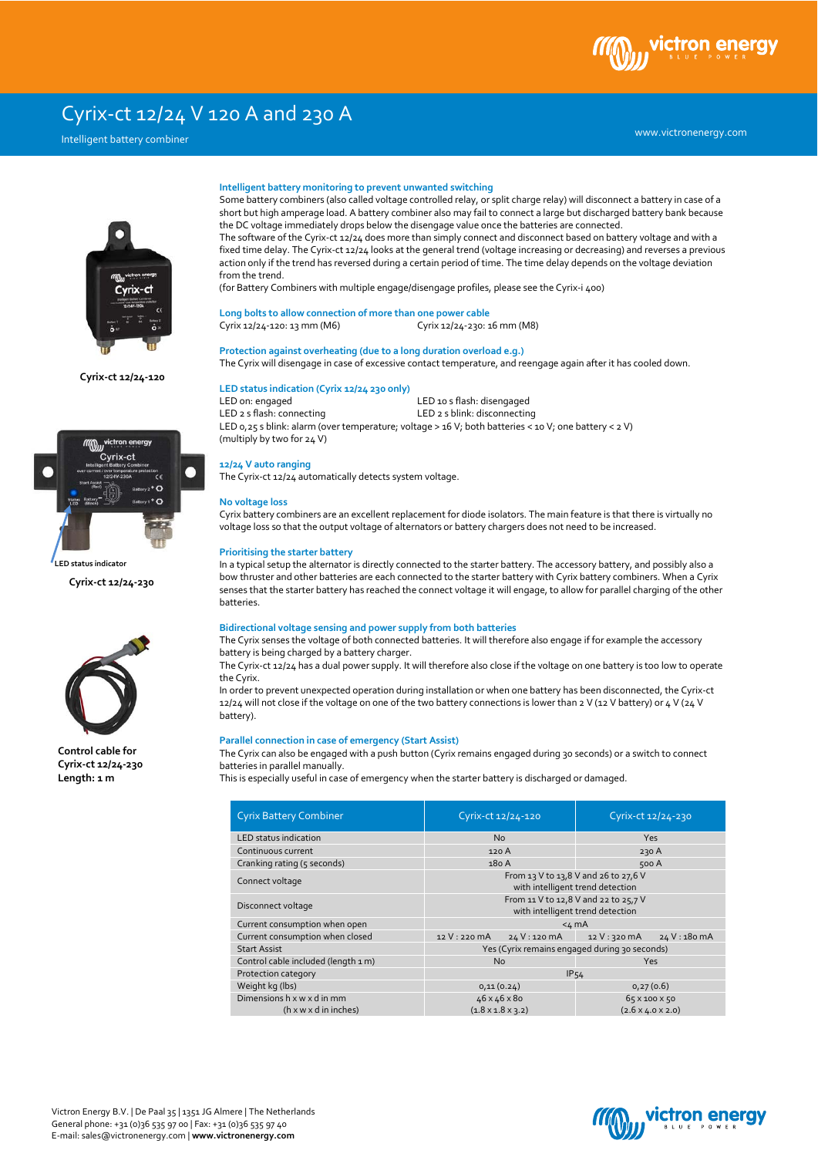# ctron

## Cyrix-ct 12/24 V 120 A and 230 A

### Intelligent battery combiner



**Cyrix-ct 12/24-120**



**Cyrix-ct 12/24-230**



**Control cable for Cyrix-ct 12/24-230 Length: 1 m**

### **Intelligent battery monitoring to prevent unwanted switching**

Some battery combiners (also called voltage controlled relay, or split charge relay) will disconnect a battery in case of a short but high amperage load. A battery combiner also may fail to connect a large but discharged battery bank because the DC voltage immediately drops below the disengage value once the batteries are connected. The software of the Cyrix-ct 12/24 does more than simply connect and disconnect based on battery voltage and with a fixed time delay. The Cyrix-ct 12/24 looks at the general trend (voltage increasing or decreasing) and reverses a previous action only if the trend has reversed during a certain period of time. The time delay depends on the voltage deviation from the trend.

(for Battery Combiners with multiple engage/disengage profiles, please see the Cyrix-i 400)

### **Long bolts to allow connection of more than one power cable**

Cyrix 12/24-120: 13 mm (M6) Cyrix 12/24-230: 16 mm (M8)

### **Protection against overheating (due to a long duration overload e.g.)**

The Cyrix will disengage in case of excessive contact temperature, and reengage again after it has cooled down.

### **LED status indication (Cyrix 12/24 230 only)**

LED on: engaged LED 10 s flash: disengaged<br>
LED 2 s flash: connecting<br>
LED 2 s blink: disconnecting LED 2 s blink: disconnecting LED 0,25 s blink: alarm (over temperature; voltage > 16 V; both batteries < 10 V; one battery < 2 V) (multiply by two for 24 V)

#### **12/24 V auto ranging**

The Cyrix-ct 12/24 automatically detects system voltage.

### **No voltage loss**

Cyrix battery combiners are an excellent replacement for diode isolators. The main feature is that there is virtually no voltage loss so that the output voltage of alternators or battery chargers does not need to be increased.

### **Prioritising the starter battery**

In a typical setup the alternator is directly connected to the starter battery. The accessory battery, and possibly also a bow thruster and other batteries are each connected to the starter battery with Cyrix battery combiners. When a Cyrix senses that the starter battery has reached the connect voltage it will engage, to allow for parallel charging of the other batteries.

### **Bidirectional voltage sensing and power supply from both batteries**

The Cyrix senses the voltage of both connected batteries. It will therefore also engage if for example the accessory battery is being charged by a battery charger.

The Cyrix-ct 12/24 has a dual power supply. It will therefore also close if the voltage on one battery is too low to operate the Cyrix.

In order to prevent unexpected operation during installation or when one battery has been disconnected, the Cyrix-ct 12/24 will not close if the voltage on one of the two battery connections is lower than 2 V (12 V battery) or 4 V (24 V battery).

### **Parallel connection in case of emergency (Start Assist)**

The Cyrix can also be engaged with a push button (Cyrix remains engaged during 30 seconds) or a switch to connect batteries in parallel manually.

This is especially useful in case of emergency when the starter battery is discharged or damaged.

| <b>Cyrix Battery Combiner</b>       | Cyrix-ct 12/24-120                                                       | Cyrix-ct 12/24-230            |  |
|-------------------------------------|--------------------------------------------------------------------------|-------------------------------|--|
| LED status indication               | <b>Yes</b><br><b>No</b>                                                  |                               |  |
| Continuous current                  | 120 A                                                                    | 230 A                         |  |
| Cranking rating (5 seconds)         | 180 A                                                                    | 500 A                         |  |
| Connect voltage                     | From 13 V to 13,8 V and 26 to 27,6 V<br>with intelligent trend detection |                               |  |
| Disconnect voltage                  | From 11 V to 12,8 V and 22 to 25,7 V<br>with intelligent trend detection |                               |  |
| Current consumption when open       | $4 mA$                                                                   |                               |  |
| Current consumption when closed     | 12 V: 220 mA<br>24 V: 120 mA                                             | 24 V: 180 mA<br>12 V: 320 mA  |  |
| <b>Start Assist</b>                 | Yes (Cyrix remains engaged during 30 seconds)                            |                               |  |
| Control cable included (length 1 m) | <b>No</b>                                                                | <b>Yes</b>                    |  |
| Protection category                 | IP54                                                                     |                               |  |
| Weight kg (lbs)                     | 0,11(0.24)                                                               | 0,27(0.6)                     |  |
| Dimensions h x w x d in mm          | 46 x 46 x 80                                                             | 65 x 100 x 50                 |  |
| $(h \times w \times d)$ in inches)  | $(1.8 \times 1.8 \times 3.2)$                                            | $(2.6 \times 4.0 \times 2.0)$ |  |